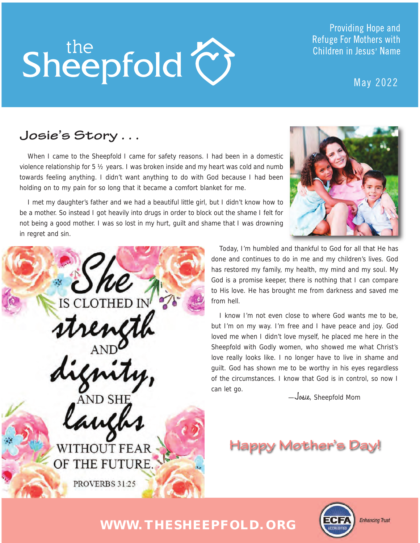# Sheepfold  $\bigodot$

Providing Hope and **Refuge For Mothers with** Children in Jesus' Name

May 2022

# **Josie's Story . . .**

When I came to the Sheepfold I came for safety reasons. I had been in a domestic violence relationship for 5 ½ years. I was broken inside and my heart was cold and numb towards feeling anything. I didn't want anything to do with God because I had been holding on to my pain for so long that it became a comfort blanket for me.

I met my daughter's father and we had a beautiful little girl, but I didn't know how to be a mother. So instead I got heavily into drugs in order to block out the shame I felt for not being a good mother. I was so lost in my hurt, guilt and shame that I was drowning in regret and sin.



rength<br>gnity, aut **WITHOUT FEAR** 

OF THE FUTURE.

PROVERBS 31:25

Today, I'm humbled and thankful to God for all that He has done and continues to do in me and my children's lives. God has restored my family, my health, my mind and my soul. My God is a promise keeper, there is nothing that I can compare to His love. He has brought me from darkness and saved me from hell.

I know I'm not even close to where God wants me to be, but I'm on my way. I'm free and I have peace and joy. God loved me when I didn't love myself, he placed me here in the Sheepfold with Godly women, who showed me what Christ's love really looks like. I no longer have to live in shame and guilt. God has shown me to be worthy in his eyes regardless of the circumstances. I know that God is in control, so now I can let go.

—Josie, Sheepfold Mom

# **Happy Mother's Day!**



# **WWW.THESHEEPFOLD.ORG**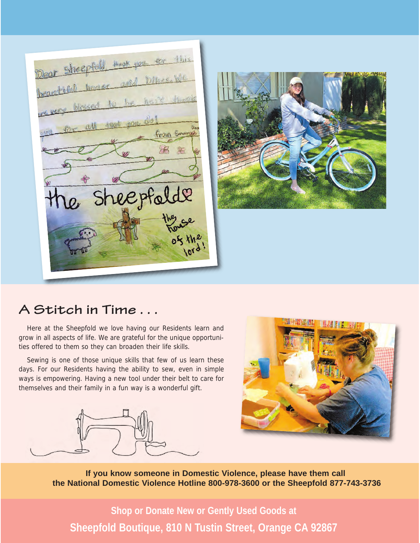Dear Sheepfold, these you for this Dear Sheeping, and Dikes, We beautiful model for all that you do! From Emmor the sheepfalde louse



#### A Stitch in Time...

Here at the Sheepfold we love having our Residents learn and grow in all aspects of life. We are grateful for the unique opportunities offered to them so they can broaden their life skills.

Sewing is one of those unique skills that few of us learn these days. For our Residents having the ability to sew, even in simple ways is empowering. Having a new tool under their belt to care for themselves and their family in a fun way is a wonderful gift.





**If you know someone in Domestic Violence, please have them call the National Domestic Violence Hotline 800-978-3600 or the Sheepfold 877-743-3736**

**Shop or Donate New or Gently Used Goods at Sheepfold Boutique, 810 N Tustin Street, Orange CA 92867**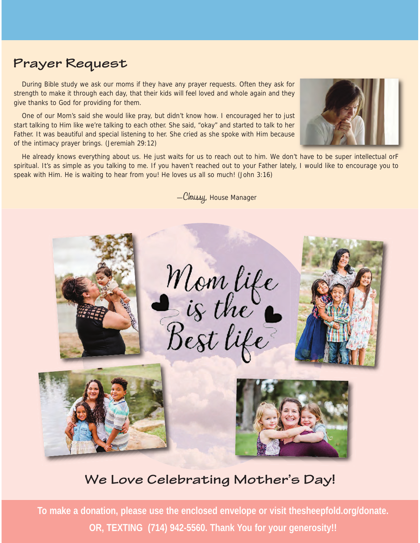# **Prayer Request**

During Bible study we ask our moms if they have any prayer requests. Often they ask for strength to make it through each day, that their kids will feel loved and whole again and they give thanks to God for providing for them.

One of our Mom's said she would like pray, but didn't know how. I encouraged her to just start talking to Him like we're talking to each other. She said, "okay" and started to talk to her Father. It was beautiful and special listening to her. She cried as she spoke with Him because of the intimacy prayer brings. (Jeremiah 29:12)



He already knows everything about us. He just waits for us to reach out to him. We don't have to be super intellectual orF spiritual. It's as simple as you talking to me. If you haven't reached out to your Father lately, I would like to encourage you to speak with Him. He is waiting to hear from you! He loves us all so much! (John 3:16)

—Chrissy, House Manager



#### **We Love Celebrating Mother's Day!**

**To make a donation, please use the enclosed envelope or visit thesheepfold.org/donate. OR, TEXTING (714) 942-5560. Thank You for your generosity!!**